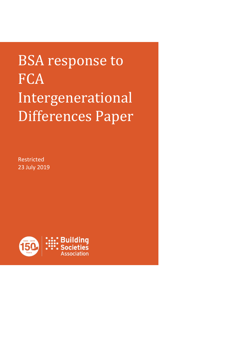BSA response to **FCA** Intergenerational Differences Paper

Restricted 23 July 2019

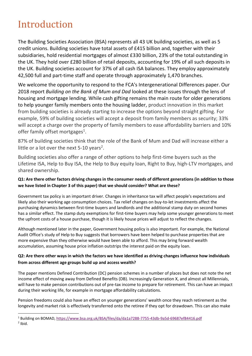# Introduction

 $\overline{a}$ 

The Building Societies Association (BSA) represents all 43 UK building societies, as well as 5 credit unions. Building societies have total assets of £415 billion and, together with their subsidiaries, hold residential mortgages of almost £330 billion, 23% of the total outstanding in the UK. They hold over £280 billion of retail deposits, accounting for 19% of all such deposits in the UK. Building societies account for 37% of all cash ISA balances. They employ approximately 42,500 full and part-time staff and operate through approximately 1,470 branches.

We welcome the opportunity to respond to the FCA's Intergenerational Differences paper. Our 2018 report *Building on the Bank of Mum and Dad* looked at these issues through the lens of housing and mortgage lending. While cash gifting remains the main route for older generations to help younger family members onto the housing ladder, product innovation in this market from building societies is already starting to increase the options beyond straight gifting. For example, 59% of building societies will accept a deposit from family members as security; 33% will accept a charge over the property of family members to ease affordability barriers and 10% offer family offset mortgages<sup>1</sup>.

87% of building societies think that the role of the Bank of Mum and Dad will increase either a little or a lot over the next 5-10 years<sup>2</sup>.

Building societies also offer a range of other options to help first-time buyers such as the Lifetime ISA, Help to Buy ISA, the Help to Buy equity loan, Right to Buy, high-LTV mortgages, and shared ownership.

## **Q1: Are there other factors driving changes in the consumer needs of different generations (in addition to those we have listed in Chapter 3 of this paper) that we should consider? What are these?**

Government tax policy is an important driver. Changes in inheritance tax will affect people's expectations and likely also their working age consumption choices. Tax relief changes on buy-to-let investments affect the purchasing dynamics between first-time buyers and landlords and the additional stamp duty on second homes has a similar effect. The stamp duty exemptions for first-time buyers may help some younger generations to meet the upfront costs of a house purchase, though it is likely house prices will adjust to reflect the changes.

Although mentioned later in the paper, Government housing policy is also important. For example, the National Audit Office's study of Help to Buy suggests that borrowers have been helped to purchase properties that are more expensive than they otherwise would have been able to afford. This may bring forward wealth accumulation, assuming house price inflation outstrips the interest paid on the equity loan.

## **Q2: Are there other ways in which the factors we have identified as driving changes influence how individuals from across different age groups build up and access wealth?**

The paper mentions Defined Contribution (DC) pension schemes in a number of places but does not note the net income effect of moving away from Defined Benefits (DB). Increasingly Generation X, and almost all Millennials, will have to make pension contributions out of pre-tax income to prepare for retirement. This can have an impact during their working life, for example in mortgage affordability calculations.

Pension freedoms could also have an effect on younger generations' wealth once they reach retirement as the longevity and market risk is effectively transferred onto the retiree if they opt for drawdown. This can also make

<sup>1</sup> Building on BOMAD,<https://www.bsa.org.uk/BSA/files/da/da1a7288-7755-43db-9a5d-69687ef84416.pdf>  $2$  Ibid.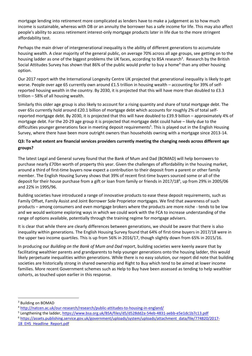mortgage lending into retirement more complicated as lenders have to make a judgement as to how much income is sustainable, whereas with DB or an annuity the borrower has a safe income for life. This may also affect people's ability to access retirement interest-only mortgage products later in life due to the more stringent affordability test.

Perhaps the main driver of intergenerational inequality is the ability of different generations to accumulate housing wealth. A clear majority of the general public, on average 70% across all age groups, see getting on to the housing ladder as one of the biggest problems the UK faces, according to BSA research<sup>3</sup>. Research by the British Social Attitudes Survey has shown that 86% of the public would prefer to buy a home<sup>4</sup> than any other housing option.

Our 2017 report with the International Longevity Centre UK projected that generational inequality is likely to get worse. People over age 65 currently own around £1.5 trillion in housing wealth – accounting for 39% of selfreported housing wealth in the country. By 2030, it is projected that this will have more than doubled to £3.3 trillion – 58% of all housing wealth.

Similarly this older age group is also likely to account for a rising quantity and share of total mortgage debt. The over 65s currently hold around £20.1 billion of mortgage debt which accounts for roughly 2% of total selfreported mortgage debt. By 2030, it is projected that this will have doubled to £39.9 billion – approximately 4% of mortgage debt. For the 20-29 age group it is projected that mortgage debt could halve – likely due to the difficulties younger generations face in meeting deposit requirements<sup>5</sup>. This is played out in the English Housing Survey, where there have been more outright owners than households owning with a mortgage since 2013-14.

#### **Q3: To what extent are financial services providers currently meeting the changing needs across different age groups?**

The latest Legal and General survey found that the Bank of Mum and Dad (BOMAD) will help borrowers to purchase nearly £70bn worth of property this year. Given the challenges of affordability in the housing market, around a third of first-time buyers now expect a contribution to their deposit from a parent or other family member. The English Housing Survey shows that 39% of recent first-time buyers sourced some or all of the deposit for their house purchase from a gift or loan from family or friends in 2017/18<sup>6</sup>, up from 29% in 2005/06 and 22% in 1995/96.

Building societies have introduced a range of innovative products to ease these deposit requirements, such as Family Offset, Family Assist and Joint Borrower Sole Proprietor mortgages. We find that awareness of such products – among consumers and even mortgage brokers where the products are more niche - tends to be low and we would welcome exploring ways in which we could work with the FCA to increase understanding of the range of options available, potentially through the training regime for mortgage advisers.

It is clear that while there are clearly differences between generations, we should be aware that there is also inequality within generations. The English Housing Survey found that 64% of first-time buyers in 2017/18 were in the upper two income quartiles. This is up from 56% in 2016/17, though slightly down from 65% in 2015/16.

In producing our *Building on the Bank of Mum and Dad* report, building societies were keenly aware that by facilitating wealthier parents and grandparents to help younger generations onto the housing ladder, this would likely perpetuate inequalities within generations. While there is no easy solution, our report did note that building societies are historically strong in shared ownership and Right to Buy which tend to be aimed at lower income families. More recent Government schemes such as Help to Buy have been assessed as tending to help wealthier cohorts, as touched upon earlier in this response.

 $\overline{a}$ 

<sup>6</sup> [https://assets.publishing.service.gov.uk/government/uploads/system/uploads/attachment\\_data/file/774820/2017-](https://assets.publishing.service.gov.uk/government/uploads/system/uploads/attachment_data/file/774820/2017-18_EHS_Headline_Report.pdf) [18\\_EHS\\_Headline\\_Report.pdf](https://assets.publishing.service.gov.uk/government/uploads/system/uploads/attachment_data/file/774820/2017-18_EHS_Headline_Report.pdf)

<sup>&</sup>lt;sup>3</sup> Building on BOMAD

<sup>4</sup> <http://natcen.ac.uk/our-research/research/public-attitudes-to-housing-in-england/>

<sup>&</sup>lt;sup>5</sup> Lengthening the ladder, <u>https://www.bsa.org.uk/BSA/files/d5/d528dd2a-54eb-4831-aebb-e5e1dc1b7c13.pdf</u>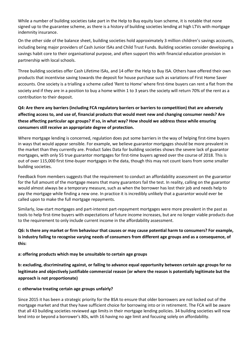While a number of building societies take part in the Help to Buy equity loan scheme, it is notable that none signed up to the guarantee scheme, as there is a history of building societies lending at high LTVs with mortgage indemnity insurance.

On the other side of the balance sheet, building societies hold approximately 3 million children's savings accounts, including being major providers of Cash Junior ISAs and Child Trust Funds. Building societies consider developing a savings habit core to their organisational purpose, and often support this with financial education provision in partnership with local schools.

Three building societies offer Cash Lifetime ISAs, and 14 offer the Help to Buy ISA. Others have offered their own products that incentivise saving towards the deposit for house purchase such as variations of First Home Saver accounts. One society is a trialling a scheme called 'Rent to Home' where first-time buyers can rent a flat from the society and if they are in a position to buy a home within 1 to 3 years the society will return 70% of the rent as a contribution to their deposit.

**Q4: Are there any barriers (including FCA regulatory barriers or barriers to competition) that are adversely affecting access to, and use of, financial products that would meet new and changing consumer needs? Are these affecting particular age groups? If so, in what way? How should we address these while ensuring consumers still receive an appropriate degree of protection.** 

Where mortgage lending is concerned, regulation does put some barriers in the way of helping first-time buyers in ways that would appear sensible. For example, we believe guarantor mortgages should be more prevalent in the market than they currently are. Product Sales Data for building societies shows the severe lack of guarantor mortgages, with only 55 true guarantor mortgages for first-time buyers agreed over the course of 2018. This is out of over 115,000 first time-buyer mortgages in the data, though this may not count loans from some smaller building societies.

Feedback from members suggests that the requirement to conduct an affordability assessment on the guarantor for the full amount of the mortgage means that many guarantors fail the test. In reality, calling on the guarantor would almost always be a temporary measure, such as when the borrower has lost their job and needs help to pay the mortgage while finding a new one. In practice it is incredibly unlikely that a guarantor would ever be called upon to make the full mortgage repayments.

Similarly, low-start mortgages and part-interest part-repayment mortgages were more prevalent in the past as tools to help first-time buyers with expectations of future income increases, but are no longer viable products due to the requirement to only include current income in the affordability assessment.

**Q6: Is there any market or firm behaviour that causes or may cause potential harm to consumers? For example, is industry failing to recognise varying needs of consumers from different age groups and as a consequence, of this:** 

**a: offering products which may be unsuitable to certain age groups** 

**b: excluding, discriminating against, or failing to advance equal opportunity between certain age groups for no legitimate and objectively justifiable commercial reason (or where the reason is potentially legitimate but the approach is not proportionate)** 

#### **c: otherwise treating certain age groups unfairly?**

Since 2015 it has been a strategic priority for the BSA to ensure that older borrowers are not locked out of the mortgage market and that they have sufficient choice for borrowing into or in retirement. The FCA will be aware that all 43 building societies reviewed age limits in their mortgage lending policies. 34 building societies will now lend into or beyond a borrower's 80s, with 16 having no age limit and focusing solely on affordability.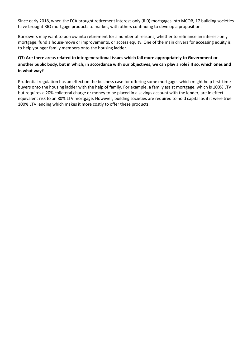Since early 2018, when the FCA brought retirement interest-only (RI0) mortgages into MCOB, 17 building societies have brought RIO mortgage products to market, with others continuing to develop a proposition.

Borrowers may want to borrow into retirement for a number of reasons, whether to refinance an interest-only mortgage, fund a house-move or improvements, or access equity. One of the main drivers for accessing equity is to help younger family members onto the housing ladder.

### **Q7: Are there areas related to intergenerational issues which fall more appropriately to Government or another public body, but in which, in accordance with our objectives, we can play a role? If so, which ones and in what way?**

Prudential regulation has an effect on the business case for offering some mortgages which might help first-time buyers onto the housing ladder with the help of family. For example, a family assist mortgage, which is 100% LTV but requires a 20% collateral charge or money to be placed in a savings account with the lender, are in effect equivalent risk to an 80% LTV mortgage. However, building societies are required to hold capital as if it were true 100% LTV lending which makes it more costly to offer these products.